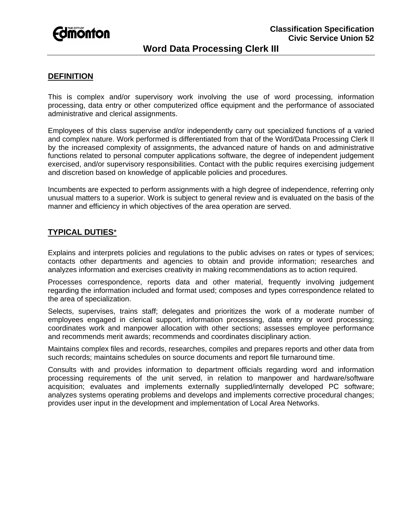

# **Word Data Processing Clerk III**

### **DEFINITION**

This is complex and/or supervisory work involving the use of word processing, information processing, data entry or other computerized office equipment and the performance of associated administrative and clerical assignments.

Employees of this class supervise and/or independently carry out specialized functions of a varied and complex nature. Work performed is differentiated from that of the Word/Data Processing Clerk II by the increased complexity of assignments, the advanced nature of hands on and administrative functions related to personal computer applications software, the degree of independent judgement exercised, and/or supervisory responsibilities. Contact with the public requires exercising judgement and discretion based on knowledge of applicable policies and procedures.

Incumbents are expected to perform assignments with a high degree of independence, referring only unusual matters to a superior. Work is subject to general review and is evaluated on the basis of the manner and efficiency in which objectives of the area operation are served.

# **TYPICAL DUTIES**\*

Explains and interprets policies and regulations to the public advises on rates or types of services; contacts other departments and agencies to obtain and provide information; researches and analyzes information and exercises creativity in making recommendations as to action required.

Processes correspondence, reports data and other material, frequently involving judgement regarding the information included and format used; composes and types correspondence related to the area of specialization.

Selects, supervises, trains staff; delegates and prioritizes the work of a moderate number of employees engaged in clerical support, information processing, data entry or word processing; coordinates work and manpower allocation with other sections; assesses employee performance and recommends merit awards; recommends and coordinates disciplinary action.

Maintains complex files and records, researches, compiles and prepares reports and other data from such records; maintains schedules on source documents and report file turnaround time.

Consults with and provides information to department officials regarding word and information processing requirements of the unit served, in relation to manpower and hardware/software acquisition; evaluates and implements externally supplied/internally developed PC software; analyzes systems operating problems and develops and implements corrective procedural changes; provides user input in the development and implementation of Local Area Networks.